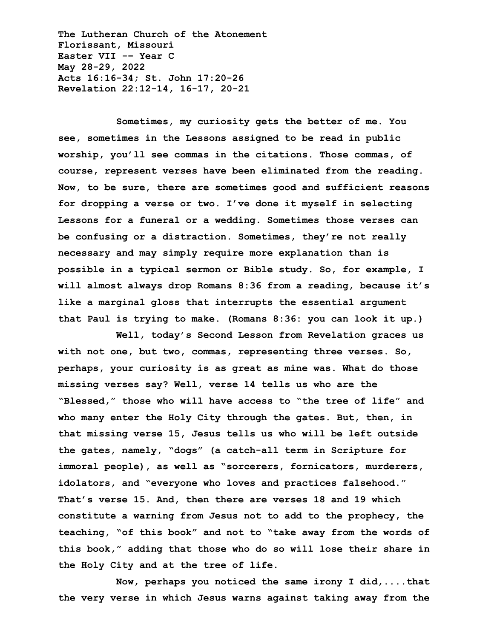**The Lutheran Church of the Atonement Florissant, Missouri Easter VII -– Year C May 28-29, 2022 Acts 16:16-34; St. John 17:20-26 Revelation 22:12-14, 16-17, 20-21**

**Sometimes, my curiosity gets the better of me. You see, sometimes in the Lessons assigned to be read in public worship, you'll see commas in the citations. Those commas, of course, represent verses have been eliminated from the reading. Now, to be sure, there are sometimes good and sufficient reasons for dropping a verse or two. I've done it myself in selecting Lessons for a funeral or a wedding. Sometimes those verses can be confusing or a distraction. Sometimes, they're not really necessary and may simply require more explanation than is possible in a typical sermon or Bible study. So, for example, I will almost always drop Romans 8:36 from a reading, because it's like a marginal gloss that interrupts the essential argument that Paul is trying to make. (Romans 8:36: you can look it up.)**

**Well, today's Second Lesson from Revelation graces us with not one, but two, commas, representing three verses. So, perhaps, your curiosity is as great as mine was. What do those missing verses say? Well, verse 14 tells us who are the "Blessed," those who will have access to "the tree of life" and who many enter the Holy City through the gates. But, then, in that missing verse 15, Jesus tells us who will be left outside the gates, namely, "dogs" (a catch-all term in Scripture for immoral people), as well as "sorcerers, fornicators, murderers, idolators, and "everyone who loves and practices falsehood." That's verse 15. And, then there are verses 18 and 19 which constitute a warning from Jesus not to add to the prophecy, the teaching, "of this book" and not to "take away from the words of this book," adding that those who do so will lose their share in the Holy City and at the tree of life.**

**Now, perhaps you noticed the same irony I did,....that the very verse in which Jesus warns against taking away from the**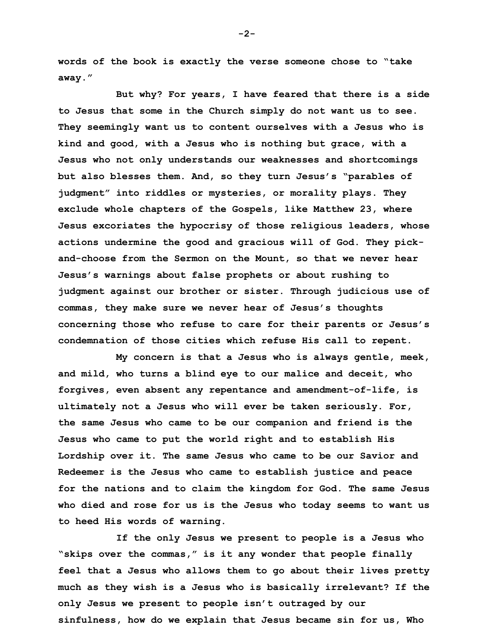**words of the book is exactly the verse someone chose to "take away."**

**But why? For years, I have feared that there is a side to Jesus that some in the Church simply do not want us to see. They seemingly want us to content ourselves with a Jesus who is kind and good, with a Jesus who is nothing but grace, with a Jesus who not only understands our weaknesses and shortcomings but also blesses them. And, so they turn Jesus's "parables of judgment" into riddles or mysteries, or morality plays. They exclude whole chapters of the Gospels, like Matthew 23, where Jesus excoriates the hypocrisy of those religious leaders, whose actions undermine the good and gracious will of God. They pickand-choose from the Sermon on the Mount, so that we never hear Jesus's warnings about false prophets or about rushing to judgment against our brother or sister. Through judicious use of commas, they make sure we never hear of Jesus's thoughts concerning those who refuse to care for their parents or Jesus's condemnation of those cities which refuse His call to repent.**

**My concern is that a Jesus who is always gentle, meek, and mild, who turns a blind eye to our malice and deceit, who forgives, even absent any repentance and amendment-of-life, is ultimately not a Jesus who will ever be taken seriously. For, the same Jesus who came to be our companion and friend is the Jesus who came to put the world right and to establish His Lordship over it. The same Jesus who came to be our Savior and Redeemer is the Jesus who came to establish justice and peace for the nations and to claim the kingdom for God. The same Jesus who died and rose for us is the Jesus who today seems to want us to heed His words of warning.** 

**If the only Jesus we present to people is a Jesus who "skips over the commas," is it any wonder that people finally feel that a Jesus who allows them to go about their lives pretty much as they wish is a Jesus who is basically irrelevant? If the only Jesus we present to people isn't outraged by our sinfulness, how do we explain that Jesus became sin for us, Who** 

**-2-**